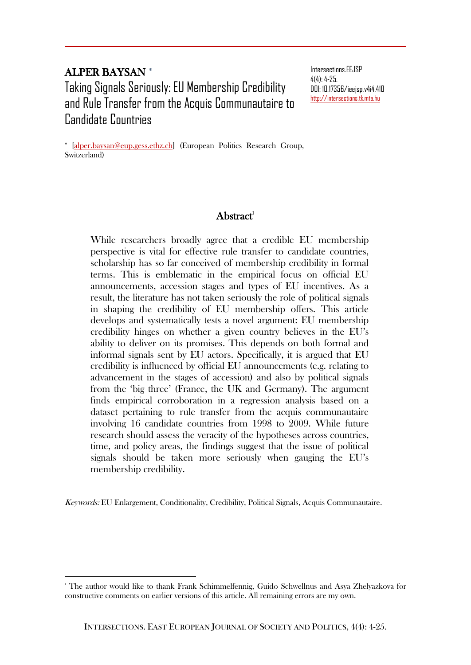## ALPER BAYSAN

 $\overline{a}$ 

 $\overline{a}$ 

Taking Signals Seriously: EU Membership Credibility and Rule Transfer from the Acquis Communautaire to Candidate Countries

Intersections.EEJSP  $4(4)$  $-4-25$ DOI: 10.17356/ieejsp.v4i4.410 [http://intersections.tk.mta.hu](http://intersections.tk.mta.hu/)

\* [alper.baysan@eup.gess.ethz.ch] (European Politics Research Group, Switzerland)

## $A<sub>h</sub>$ stract<sup>1</sup>

While researchers broadly agree that a credible EU membership perspective is vital for effective rule transfer to candidate countries, scholarship has so far conceived of membership credibility in formal terms. This is emblematic in the empirical focus on official EU announcements, accession stages and types of EU incentives. As a result, the literature has not taken seriously the role of political signals in shaping the credibility of EU membership offers. This article develops and systematically tests a novel argument: EU membership credibility hinges on whether a given country believes in the EU's ability to deliver on its promises. This depends on both formal and informal signals sent by EU actors. Specifically, it is argued that EU credibility is influenced by official EU announcements (e.g. relating to advancement in the stages of accession) and also by political signals from the 'big three' (France, the UK and Germany). The argument finds empirical corroboration in a regression analysis based on a dataset pertaining to rule transfer from the acquis communautaire involving 16 candidate countries from 1998 to 2009. While future research should assess the veracity of the hypotheses across countries, time, and policy areas, the findings suggest that the issue of political signals should be taken more seriously when gauging the EU's membership credibility.

Keywords: EU Enlargement, Conditionality, Credibility, Political Signals, Acquis Communautaire.

<sup>1</sup> The author would like to thank Frank Schimmelfennig, Guido Schwellnus and Asya Zhelyazkova for constructive comments on earlier versions of this article. All remaining errors are my own.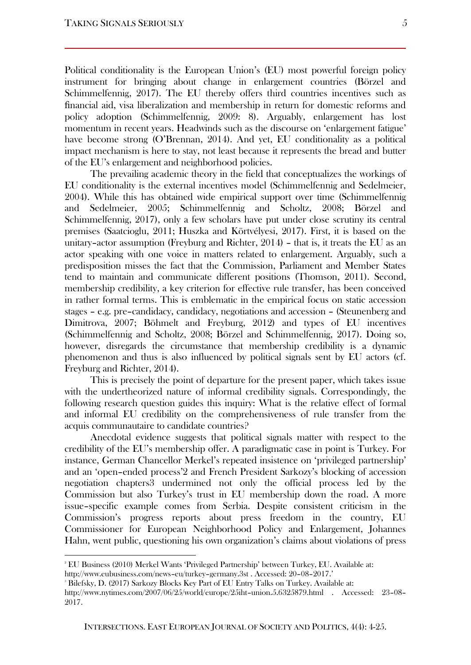Political conditionality is the European Union's (EU) most powerful foreign policy instrument for bringing about change in enlargement countries (Börzel and Schimmelfennig, 2017). The EU thereby offers third countries incentives such as financial aid, visa liberalization and membership in return for domestic reforms and policy adoption (Schimmelfennig, 2009: 8). Arguably, enlargement has lost momentum in recent years. Headwinds such as the discourse on 'enlargement fatigue' have become strong (O'Brennan, 2014). And yet, EU conditionality as a political impact mechanism is here to stay, not least because it represents the bread and butter of the EU's enlargement and neighborhood policies.

The prevailing academic theory in the field that conceptualizes the workings of EU conditionality is the external incentives model (Schimmelfennig and Sedelmeier, 2004). While this has obtained wide empirical support over time (Schimmelfennig and Sedelmeier, 2005; Schimmelfennig and Scholtz, 2008; Börzel and Schimmelfennig, 2017), only a few scholars have put under close scrutiny its central premises (Saatcioglu, 2011; Huszka and Körtvélyesi, 2017). First, it is based on the unitary–actor assumption (Freyburg and Richter, 2014) – that is, it treats the EU as an actor speaking with one voice in matters related to enlargement. Arguably, such a predisposition misses the fact that the Commission, Parliament and Member States tend to maintain and communicate different positions (Thomson, 2011). Second, membership credibility, a key criterion for effective rule transfer, has been conceived in rather formal terms. This is emblematic in the empirical focus on static accession stages – e.g. pre–candidacy, candidacy, negotiations and accession – (Steunenberg and Dimitrova, 2007; Böhmelt and Freyburg, 2012) and types of EU incentives (Schimmelfennig and Scholtz, 2008; Börzel and Schimmelfennig, 2017). Doing so, however, disregards the circumstance that membership credibility is a dynamic phenomenon and thus is also influenced by political signals sent by EU actors (cf. Freyburg and Richter, 2014).

This is precisely the point of departure for the present paper, which takes issue with the undertheorized nature of informal credibility signals. Correspondingly, the following research question guides this inquiry: What is the relative effect of formal and informal EU credibility on the comprehensiveness of rule transfer from the acquis communautaire to candidate countries?

Anecdotal evidence suggests that political signals matter with respect to the credibility of the EU's membership offer. A paradigmatic case in point is Turkey. For instance, German Chancellor Merkel's repeated insistence on 'privileged partnership' and an 'open–ended process'2 and French President Sarkozy's blocking of accession negotiation chapters3 undermined not only the official process led by the Commission but also Turkey's trust in EU membership down the road. A more issue–specific example comes from Serbia. Despite consistent criticism in the Commission's progress reports about press freedom in the country, EU Commissioner for European Neighborhood Policy and Enlargement, Johannes Hahn, went public, questioning his own organization's claims about violations of press

<sup>2</sup> EU Business (2010) Merkel Wants 'Privileged Partnership' between Turkey, EU. Available at: [http://www.eubusiness.com/news](http://www.eubusiness.com/news-eu/turkey-germany.3st)–eu/turkey–germany.3st . Accessed: 20–08–2017.'

<sup>3</sup> Bilefsky, D. (2017) Sarkozy Blocks Key Part of EU Entry Talks on Turkey. Available at:

[http://www.nytimes.com/2007/06/25/world/europe/25iht](http://www.nytimes.com/2007/06/25/world/europe/25iht-union.5.6325879.html)–union.5.6325879.html . Accessed: 23–08– 2017.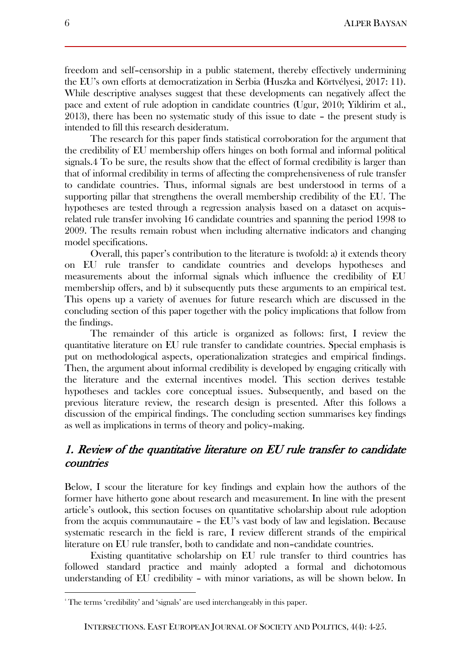freedom and self–censorship in a public statement, thereby effectively undermining the EU's own efforts at democratization in Serbia (Huszka and Körtvélyesi, 2017: 11). While descriptive analyses suggest that these developments can negatively affect the pace and extent of rule adoption in candidate countries (Ugur, 2010; Yildirim et al., 2013), there has been no systematic study of this issue to date – the present study is intended to fill this research desideratum.

The research for this paper finds statistical corroboration for the argument that the credibility of EU membership offers hinges on both formal and informal political signals.4 To be sure, the results show that the effect of formal credibility is larger than that of informal credibility in terms of affecting the comprehensiveness of rule transfer to candidate countries. Thus, informal signals are best understood in terms of a supporting pillar that strengthens the overall membership credibility of the EU. The hypotheses are tested through a regression analysis based on a dataset on acquis– related rule transfer involving 16 candidate countries and spanning the period 1998 to 2009. The results remain robust when including alternative indicators and changing model specifications.

Overall, this paper's contribution to the literature is twofold: a) it extends theory on EU rule transfer to candidate countries and develops hypotheses and measurements about the informal signals which influence the credibility of EU membership offers, and b) it subsequently puts these arguments to an empirical test. This opens up a variety of avenues for future research which are discussed in the concluding section of this paper together with the policy implications that follow from the findings.

The remainder of this article is organized as follows: first, I review the quantitative literature on EU rule transfer to candidate countries. Special emphasis is put on methodological aspects, operationalization strategies and empirical findings. Then, the argument about informal credibility is developed by engaging critically with the literature and the external incentives model. This section derives testable hypotheses and tackles core conceptual issues. Subsequently, and based on the previous literature review, the research design is presented. After this follows a discussion of the empirical findings. The concluding section summarises key findings as well as implications in terms of theory and policy–making.

## 1. Review of the quantitative literature on EU rule transfer to candidate countries

Below, I scour the literature for key findings and explain how the authors of the former have hitherto gone about research and measurement. In line with the present article's outlook, this section focuses on quantitative scholarship about rule adoption from the acquis communautaire – the EU's vast body of law and legislation. Because systematic research in the field is rare, I review different strands of the empirical literature on EU rule transfer, both to candidate and non–candidate countries.

Existing quantitative scholarship on EU rule transfer to third countries has followed standard practice and mainly adopted a formal and dichotomous understanding of EU credibility – with minor variations, as will be shown below. In

l

<sup>&</sup>lt;sup>4</sup> The terms 'credibility' and 'signals' are used interchangeably in this paper.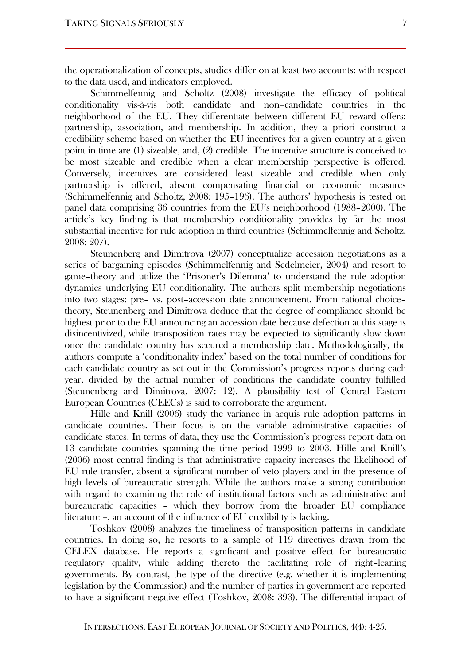to the data used, and indicators employed. Schimmelfennig and Scholtz (2008) investigate the efficacy of political conditionality vis-à-vis both candidate and non–candidate countries in the neighborhood of the EU. They differentiate between different EU reward offers: partnership, association, and membership. In addition, they a priori construct a credibility scheme based on whether the EU incentives for a given country at a given point in time are (1) sizeable, and, (2) credible. The incentive structure is conceived to be most sizeable and credible when a clear membership perspective is offered. Conversely, incentives are considered least sizeable and credible when only partnership is offered, absent compensating financial or economic measures (Schimmelfennig and Scholtz, 2008: 195–196). The authors' hypothesis is tested on panel data comprising 36 countries from the EU's neighborhood (1988–2000). The article's key finding is that membership conditionality provides by far the most substantial incentive for rule adoption in third countries (Schimmelfennig and Scholtz, 2008: 207).

Steunenberg and Dimitrova (2007) conceptualize accession negotiations as a series of bargaining episodes (Schimmelfennig and Sedelmeier, 2004) and resort to game–theory and utilize the 'Prisoner's Dilemma' to understand the rule adoption dynamics underlying EU conditionality. The authors split membership negotiations into two stages: pre– vs. post–accession date announcement. From rational choice– theory, Steunenberg and Dimitrova deduce that the degree of compliance should be highest prior to the EU announcing an accession date because defection at this stage is disincentivized, while transposition rates may be expected to significantly slow down once the candidate country has secured a membership date. Methodologically, the authors compute a 'conditionality index' based on the total number of conditions for each candidate country as set out in the Commission's progress reports during each year, divided by the actual number of conditions the candidate country fulfilled (Steunenberg and Dimitrova, 2007: 12). A plausibility test of Central Eastern European Countries (CEECs) is said to corroborate the argument.

Hille and Knill (2006) study the variance in acquis rule adoption patterns in candidate countries. Their focus is on the variable administrative capacities of candidate states. In terms of data, they use the Commission's progress report data on 13 candidate countries spanning the time period 1999 to 2003. Hille and Knill's (2006) most central finding is that administrative capacity increases the likelihood of EU rule transfer, absent a significant number of veto players and in the presence of high levels of bureaucratic strength. While the authors make a strong contribution with regard to examining the role of institutional factors such as administrative and bureaucratic capacities – which they borrow from the broader EU compliance literature –, an account of the influence of EU credibility is lacking.

Toshkov (2008) analyzes the timeliness of transposition patterns in candidate countries. In doing so, he resorts to a sample of 119 directives drawn from the CELEX database. He reports a significant and positive effect for bureaucratic regulatory quality, while adding thereto the facilitating role of right–leaning governments. By contrast, the type of the directive (e.g. whether it is implementing legislation by the Commission) and the number of parties in government are reported to have a significant negative effect (Toshkov, 2008: 393). The differential impact of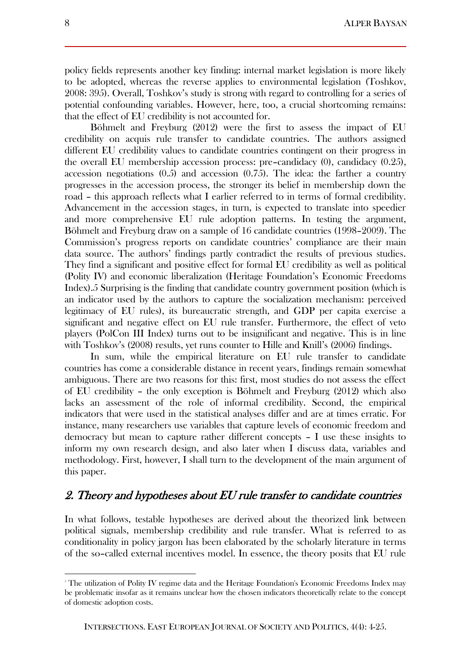policy fields represents another key finding: internal market legislation is more likely to be adopted, whereas the reverse applies to environmental legislation (Toshkov, 2008: 395). Overall, Toshkov's study is strong with regard to controlling for a series of potential confounding variables. However, here, too, a crucial shortcoming remains: that the effect of EU credibility is not accounted for.

Böhmelt and Freyburg (2012) were the first to assess the impact of EU credibility on acquis rule transfer to candidate countries. The authors assigned different EU credibility values to candidate countries contingent on their progress in the overall EU membership accession process: pre–candidacy (0), candidacy (0.25), accession negotiations  $(0.5)$  and accession  $(0.75)$ . The idea: the farther a country progresses in the accession process, the stronger its belief in membership down the road – this approach reflects what I earlier referred to in terms of formal credibility. Advancement in the accession stages, in turn, is expected to translate into speedier and more comprehensive EU rule adoption patterns. In testing the argument, Böhmelt and Freyburg draw on a sample of 16 candidate countries (1998–2009). The Commission's progress reports on candidate countries' compliance are their main data source. The authors' findings partly contradict the results of previous studies. They find a significant and positive effect for formal EU credibility as well as political (Polity IV) and economic liberalization (Heritage Foundation's Economic Freedoms Index).5 Surprising is the finding that candidate country government position (which is an indicator used by the authors to capture the socialization mechanism: perceived legitimacy of EU rules), its bureaucratic strength, and GDP per capita exercise a significant and negative effect on EU rule transfer. Furthermore, the effect of veto players (PolCon III Index) turns out to be insignificant and negative. This is in line with Toshkov's (2008) results, yet runs counter to Hille and Knill's (2006) findings.

In sum, while the empirical literature on EU rule transfer to candidate countries has come a considerable distance in recent years, findings remain somewhat ambiguous. There are two reasons for this: first, most studies do not assess the effect of EU credibility – the only exception is Böhmelt and Freyburg (2012) which also lacks an assessment of the role of informal credibility. Second, the empirical indicators that were used in the statistical analyses differ and are at times erratic. For instance, many researchers use variables that capture levels of economic freedom and democracy but mean to capture rather different concepts – I use these insights to inform my own research design, and also later when I discuss data, variables and methodology. First, however, I shall turn to the development of the main argument of this paper.

## 2. Theory and hypotheses about EU rule transfer to candidate countries

In what follows, testable hypotheses are derived about the theorized link between political signals, membership credibility and rule transfer. What is referred to as conditionality in policy jargon has been elaborated by the scholarly literature in terms of the so–called external incentives model. In essence, the theory posits that EU rule

<sup>5</sup> The utilization of Polity IV regime data and the Heritage Foundation's Economic Freedoms Index may be problematic insofar as it remains unclear how the chosen indicators theoretically relate to the concept of domestic adoption costs.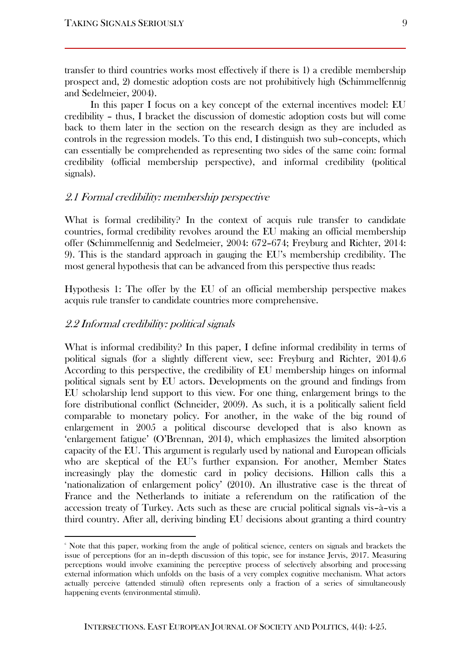transfer to third countries works most effectively if there is 1) a credible membership prospect and, 2) domestic adoption costs are not prohibitively high (Schimmelfennig and Sedelmeier, 2004).

In this paper I focus on a key concept of the external incentives model: EU credibility – thus, I bracket the discussion of domestic adoption costs but will come back to them later in the section on the research design as they are included as controls in the regression models. To this end, I distinguish two sub–concepts, which can essentially be comprehended as representing two sides of the same coin: formal credibility (official membership perspective), and informal credibility (political signals).

#### 2.1 Formal credibility: membership perspective

What is formal credibility? In the context of acquis rule transfer to candidate countries, formal credibility revolves around the EU making an official membership offer (Schimmelfennig and Sedelmeier, 2004: 672–674; Freyburg and Richter, 2014: 9). This is the standard approach in gauging the EU's membership credibility. The most general hypothesis that can be advanced from this perspective thus reads:

Hypothesis 1: The offer by the EU of an official membership perspective makes acquis rule transfer to candidate countries more comprehensive.

#### 2.2 Informal credibility: political signals

 $\overline{a}$ 

What is informal credibility? In this paper, I define informal credibility in terms of political signals (for a slightly different view, see: Freyburg and Richter, 2014).6 According to this perspective, the credibility of EU membership hinges on informal political signals sent by EU actors. Developments on the ground and findings from EU scholarship lend support to this view. For one thing, enlargement brings to the fore distributional conflict (Schneider, 2009). As such, it is a politically salient field comparable to monetary policy. For another, in the wake of the big round of enlargement in 2005 a political discourse developed that is also known as 'enlargement fatigue' (O'Brennan, 2014), which emphasizes the limited absorption capacity of the EU. This argument is regularly used by national and European officials who are skeptical of the EU's further expansion. For another, Member States increasingly play the domestic card in policy decisions. Hillion calls this a 'nationalization of enlargement policy' (2010). An illustrative case is the threat of France and the Netherlands to initiate a referendum on the ratification of the accession treaty of Turkey. Acts such as these are crucial political signals vis–à–vis a third country. After all, deriving binding EU decisions about granting a third country

<sup>6</sup> Note that this paper, working from the angle of political science, centers on signals and brackets the issue of perceptions (for an in–depth discussion of this topic, see for instance Jervis, 2017. Measuring perceptions would involve examining the perceptive process of selectively absorbing and processing external information which unfolds on the basis of a very complex cognitive mechanism. What actors actually perceive (attended stimuli) often represents only a fraction of a series of simultaneously happening events (environmental stimuli).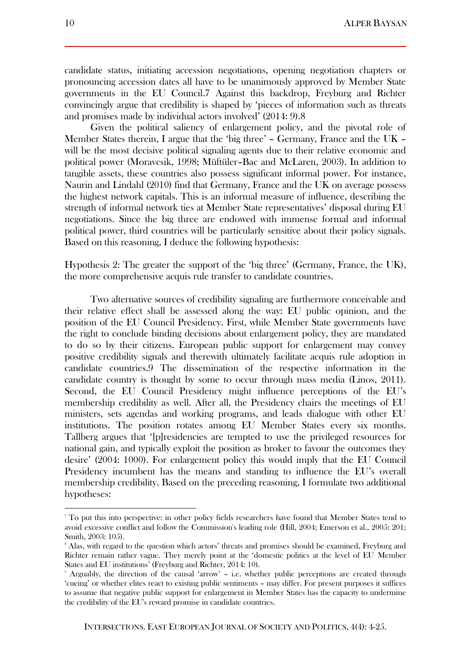candidate status, initiating accession negotiations, opening negotiation chapters or pronouncing accession dates all have to be unanimously approved by Member State governments in the EU Council.7 Against this backdrop, Freyburg and Richter convincingly argue that credibility is shaped by 'pieces of information such as threats and promises made by individual actors involved' (2014: 9).8

Given the political saliency of enlargement policy, and the pivotal role of Member States therein, I argue that the 'big three' – Germany, France and the UK – will be the most decisive political signaling agents due to their relative economic and political power (Moravcsik, 1998; Müftüler–Bac and McLaren, 2003). In addition to tangible assets, these countries also possess significant informal power. For instance, Naurin and Lindahl (2010) find that Germany, France and the UK on average possess the highest network capitals. This is an informal measure of influence, describing the strength of informal network ties at Member State representatives' disposal during EU negotiations. Since the big three are endowed with immense formal and informal political power, third countries will be particularly sensitive about their policy signals. Based on this reasoning, I deduce the following hypothesis:

Hypothesis 2: The greater the support of the 'big three' (Germany, France, the UK), the more comprehensive acquis rule transfer to candidate countries.

Two alternative sources of credibility signaling are furthermore conceivable and their relative effect shall be assessed along the way: EU public opinion, and the position of the EU Council Presidency. First, while Member State governments have the right to conclude binding decisions about enlargement policy, they are mandated to do so by their citizens. European public support for enlargement may convey positive credibility signals and therewith ultimately facilitate acquis rule adoption in candidate countries.9 The dissemination of the respective information in the candidate country is thought by some to occur through mass media (Linos, 2011). Second, the EU Council Presidency might influence perceptions of the EU's membership credibility as well. After all, the Presidency chairs the meetings of EU ministers, sets agendas and working programs, and leads dialogue with other EU institutions. The position rotates among EU Member States every six months. Tallberg argues that '[p]residencies are tempted to use the privileged resources for national gain, and typically exploit the position as broker to favour the outcomes they desire' (2004: 1000). For enlargement policy this would imply that the EU Council Presidency incumbent has the means and standing to influence the EU's overall membership credibility. Based on the preceding reasoning, I formulate two additional hypotheses:

<sup>7</sup> To put this into perspective: in other policy fields researchers have found that Member States tend to avoid excessive conflict and follow the Commission's leading role (Hill, 2004; Emerson et al., 2005: 201; Smith, 2003: 105).

<sup>8</sup> Alas, with regard to the question which actors' threats and promises should be examined, Freyburg and Richter remain rather vague. They merely point at the 'domestic politics at the level of EU Member States and EU institutions' (Freyburg and Richter, 2014: 10).

Arguably, the direction of the causal 'arrow' – i.e. whether public perceptions are created through 'cueing' or whether elites react to existing public sentiments – may differ. For present purposes it suffices to assume that negative public support for enlargement in Member States has the capacity to undermine the credibility of the EU's reward promise in candidate countries.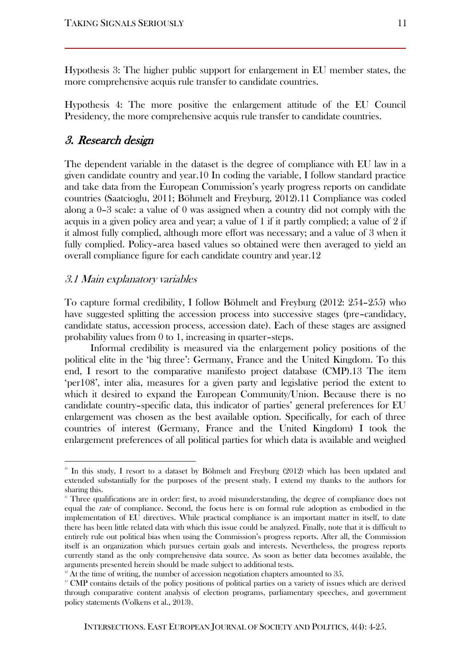Hypothesis 3: The higher public support for enlargement in EU member states, the more comprehensive acquis rule transfer to candidate countries.

Hypothesis 4: The more positive the enlargement attitude of the EU Council Presidency, the more comprehensive acquis rule transfer to candidate countries.

### 3. Research design

The dependent variable in the dataset is the degree of compliance with EU law in a given candidate country and year.10 In coding the variable, I follow standard practice and take data from the European Commission's yearly progress reports on candidate countries (Saatcioglu, 2011; Böhmelt and Freyburg, 2012).11 Compliance was coded along a 0–3 scale: a value of 0 was assigned when a country did not comply with the acquis in a given policy area and year; a value of 1 if it partly complied; a value of 2 if it almost fully complied, although more effort was necessary; and a value of 3 when it fully complied. Policy–area based values so obtained were then averaged to yield an overall compliance figure for each candidate country and year.12

#### 3.1 Main explanatory variables

 $\overline{a}$ 

To capture formal credibility, I follow Böhmelt and Freyburg (2012: 254–255) who have suggested splitting the accession process into successive stages (pre–candidacy, candidate status, accession process, accession date). Each of these stages are assigned probability values from 0 to 1, increasing in quarter–steps.

Informal credibility is measured via the enlargement policy positions of the political elite in the 'big three': Germany, France and the United Kingdom. To this end, I resort to the comparative manifesto project database (CMP).13 The item 'per108', inter alia, measures for a given party and legislative period the extent to which it desired to expand the European Community/Union. Because there is no candidate country–specific data, this indicator of parties' general preferences for EU enlargement was chosen as the best available option. Specifically, for each of three countries of interest (Germany, France and the United Kingdom) I took the enlargement preferences of all political parties for which data is available and weighed

<sup>10</sup> In this study, I resort to a dataset by Böhmelt and Freyburg (2012) which has been updated and extended substantially for the purposes of the present study. I extend my thanks to the authors for sharing this.

<sup>11</sup> Three qualifications are in order: first, to avoid misunderstanding, the degree of compliance does not equal the rate of compliance. Second, the focus here is on formal rule adoption as embodied in the implementation of EU directives. While practical compliance is an important matter in itself, to date there has been little related data with which this issue could be analyzed. Finally, note that it is difficult to entirely rule out political bias when using the Commission's progress reports. After all, the Commission itself is an organization which pursues certain goals and interests. Nevertheless, the progress reports currently stand as the only comprehensive data source. As soon as better data becomes available, the arguments presented herein should be made subject to additional tests.

 $12$ <sup>12</sup> At the time of writing, the number of accession negotiation chapters amounted to 35.

<sup>&</sup>lt;sup>13</sup> CMP contains details of the policy positions of political parties on a variety of issues which are derived through comparative content analysis of election programs, parliamentary speeches, and government policy statements (Volkens et al., 2013).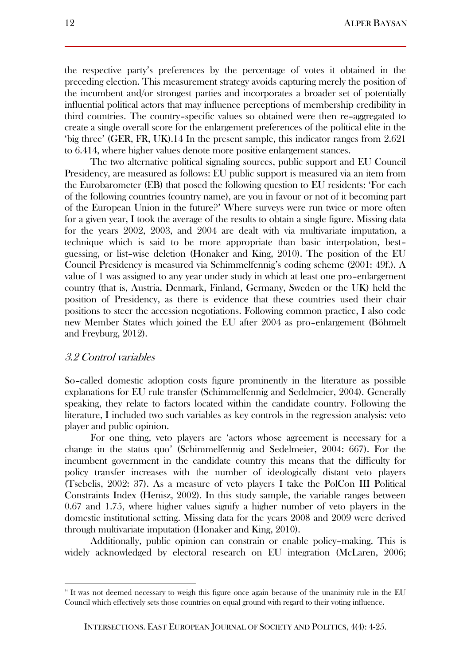the respective party's preferences by the percentage of votes it obtained in the preceding election. This measurement strategy avoids capturing merely the position of the incumbent and/or strongest parties and incorporates a broader set of potentially influential political actors that may influence perceptions of membership credibility in third countries. The country–specific values so obtained were then re–aggregated to create a single overall score for the enlargement preferences of the political elite in the 'big three' (GER, FR, UK).14 In the present sample, this indicator ranges from 2.621 to 6.414, where higher values denote more positive enlargement stances.

The two alternative political signaling sources, public support and EU Council Presidency, are measured as follows: EU public support is measured via an item from the Eurobarometer (EB) that posed the following question to EU residents: 'For each of the following countries (country name), are you in favour or not of it becoming part of the European Union in the future?' Where surveys were run twice or more often for a given year, I took the average of the results to obtain a single figure. Missing data for the years 2002, 2003, and 2004 are dealt with via multivariate imputation, a technique which is said to be more appropriate than basic interpolation, best– guessing, or list–wise deletion (Honaker and King, 2010). The position of the EU Council Presidency is measured via Schimmelfennig's coding scheme (2001: 49f.). A value of 1 was assigned to any year under study in which at least one pro–enlargement country (that is, Austria, Denmark, Finland, Germany, Sweden or the UK) held the position of Presidency, as there is evidence that these countries used their chair positions to steer the accession negotiations. Following common practice, I also code new Member States which joined the EU after 2004 as pro–enlargement (Böhmelt and Freyburg, 2012).

### 3.2 Control variables

 $\overline{a}$ 

So–called domestic adoption costs figure prominently in the literature as possible explanations for EU rule transfer (Schimmelfennig and Sedelmeier, 2004). Generally speaking, they relate to factors located within the candidate country. Following the literature, I included two such variables as key controls in the regression analysis: veto player and public opinion.

For one thing, veto players are 'actors whose agreement is necessary for a change in the status quo' (Schimmelfennig and Sedelmeier, 2004: 667). For the incumbent government in the candidate country this means that the difficulty for policy transfer increases with the number of ideologically distant veto players (Tsebelis, 2002: 37). As a measure of veto players I take the PolCon III Political Constraints Index (Henisz, 2002). In this study sample, the variable ranges between 0.67 and 1.75, where higher values signify a higher number of veto players in the domestic institutional setting. Missing data for the years 2008 and 2009 were derived through multivariate imputation (Honaker and King, 2010).

Additionally, public opinion can constrain or enable policy–making. This is widely acknowledged by electoral research on EU integration (McLaren, 2006;

<sup>&</sup>lt;sup>14</sup> It was not deemed necessary to weigh this figure once again because of the unanimity rule in the EU Council which effectively sets those countries on equal ground with regard to their voting influence.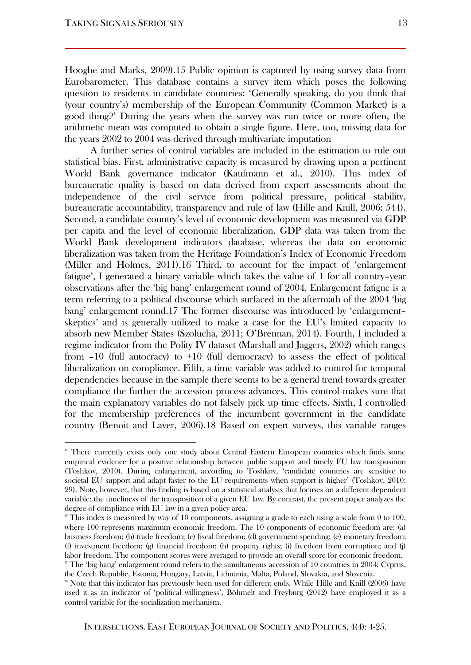$\overline{a}$ 

Hooghe and Marks, 2009).15 Public opinion is captured by using survey data from Eurobarometer. This database contains a survey item which poses the following question to residents in candidate countries: 'Generally speaking, do you think that (your country's) membership of the European Community (Common Market) is a good thing?' During the years when the survey was run twice or more often, the arithmetic mean was computed to obtain a single figure. Here, too, missing data for the years 2002 to 2004 was derived through multivariate imputation

A further series of control variables are included in the estimation to rule out statistical bias. First, administrative capacity is measured by drawing upon a pertinent World Bank governance indicator (Kaufmann et al., 2010). This index of bureaucratic quality is based on data derived from expert assessments about the independence of the civil service from political pressure, political stability, bureaucratic accountability, transparency and rule of law (Hille and Knill, 2006: 544). Second, a candidate country's level of economic development was measured via GDP per capita and the level of economic liberalization. GDP data was taken from the World Bank development indicators database, whereas the data on economic liberalization was taken from the Heritage Foundation's Index of Economic Freedom (Miller and Holmes, 2011).16 Third, to account for the impact of 'enlargement fatigue', I generated a binary variable which takes the value of 1 for all country–year observations after the 'big bang' enlargement round of 2004. Enlargement fatigue is a term referring to a political discourse which surfaced in the aftermath of the 2004 'big bang' enlargement round.17 The former discourse was introduced by 'enlargement– skeptics' and is generally utilized to make a case for the EU's limited capacity to absorb new Member States (Szolucha, 2011; O'Brennan, 2014). Fourth, I included a regime indicator from the Polity IV dataset (Marshall and Jaggers, 2002) which ranges from  $-10$  (full autocracy) to  $+10$  (full democracy) to assess the effect of political liberalization on compliance. Fifth, a time variable was added to control for temporal dependencies because in the sample there seems to be a general trend towards greater compliance the further the accession process advances. This control makes sure that the main explanatory variables do not falsely pick up time effects. Sixth, I controlled for the membership preferences of the incumbent government in the candidate country (Benoit and Laver, 2006).18 Based on expert surveys, this variable ranges

<sup>&</sup>lt;sup>15</sup> There currently exists only one study about Central Eastern European countries which finds some empirical evidence for a positive relationship between public support and timely EU law transposition (Toshkov, 2010). During enlargement, according to Toshkov, 'candidate countries are sensitive to societal EU support and adapt faster to the EU requirements when support is higher' (Toshkov, 2010: 29). Note, however, that this finding is based on a statistical analysis that focuses on a different dependent variable: the timeliness of the transposition of a given EU law. By contrast, the present paper analyzes the degree of compliance with EU law in a given policy area.

 $16$  This index is measured by way of 10 components, assigning a grade to each using a scale from 0 to 100, where 100 represents maximum economic freedom. The 10 components of economic freedom are: (a) business freedom; (b) trade freedom; (c) fiscal freedom; (d) government spending; (e) monetary freedom; (f) investment freedom; (g) financial freedom; (h) property rights; (i) freedom from corruption; and (j) labor freedom. The component scores were averaged to provide an overall score for economic freedom. <sup>17</sup> The 'big bang' enlargement round refers to the simultaneous accession of 10 countries in 2004: Cyprus,

the Czech Republic, Estonia, Hungary, Latvia, Lithuania, Malta, Poland, Slovakia, and Slovenia.

<sup>&</sup>lt;sup>18</sup> Note that this indicator has previously been used for different ends. While Hille and Knill (2006) have used it as an indicator of 'political willingness', Böhmelt and Freyburg (2012) have employed it as a control variable for the socialization mechanism.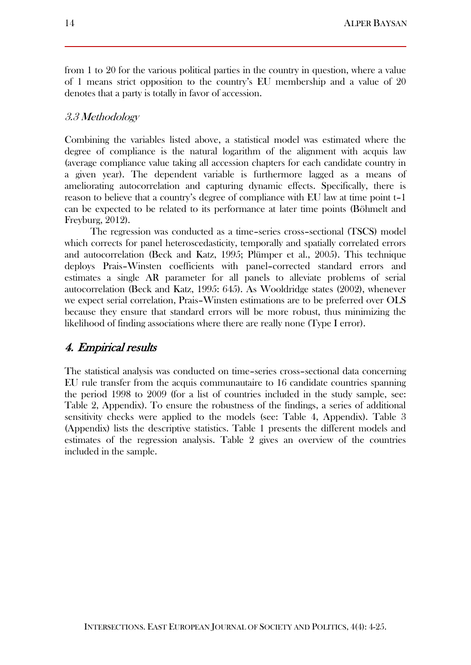from 1 to 20 for the various political parties in the country in question, where a value of 1 means strict opposition to the country's EU membership and a value of 20 denotes that a party is totally in favor of accession.

#### 3.3 Methodology

Combining the variables listed above, a statistical model was estimated where the degree of compliance is the natural logarithm of the alignment with acquis law (average compliance value taking all accession chapters for each candidate country in a given year). The dependent variable is furthermore lagged as a means of ameliorating autocorrelation and capturing dynamic effects. Specifically, there is reason to believe that a country's degree of compliance with EU law at time point t–1 can be expected to be related to its performance at later time points (Böhmelt and Freyburg, 2012).

The regression was conducted as a time–series cross–sectional (TSCS) model which corrects for panel heteroscedasticity, temporally and spatially correlated errors and autocorrelation (Beck and Katz, 1995; Plümper et al., 2005). This technique deploys Prais–Winsten coefficients with panel–corrected standard errors and estimates a single AR parameter for all panels to alleviate problems of serial autocorrelation (Beck and Katz, 1995: 645). As Wooldridge states (2002), whenever we expect serial correlation, Prais–Winsten estimations are to be preferred over OLS because they ensure that standard errors will be more robust, thus minimizing the likelihood of finding associations where there are really none (Type I error).

### 4. Empirical results

The statistical analysis was conducted on time–series cross–sectional data concerning EU rule transfer from the acquis communautaire to 16 candidate countries spanning the period 1998 to 2009 (for a list of countries included in the study sample, see: Table 2, Appendix). To ensure the robustness of the findings, a series of additional sensitivity checks were applied to the models (see: Table 4, Appendix). Table 3 (Appendix) lists the descriptive statistics. Table 1 presents the different models and estimates of the regression analysis. Table 2 gives an overview of the countries included in the sample.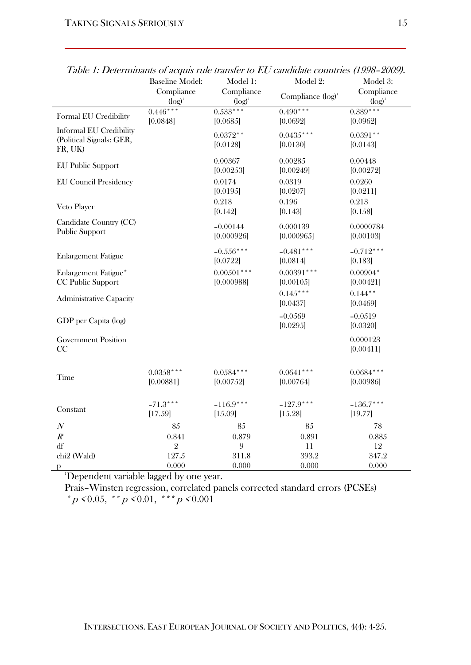|                                                                       | <b>Baseline Model:</b><br>Compliance<br>$(log)^1$ | Model 1:<br>Compliance<br>$(log)^1$ | Model 2:<br>Compliance (log) <sup>1</sup> | Model 3:<br>Compliance<br>$(log)^1$ |
|-----------------------------------------------------------------------|---------------------------------------------------|-------------------------------------|-------------------------------------------|-------------------------------------|
| Formal EU Credibility                                                 | $0.446***$<br>[0.0848]                            | $0.533***$<br>[0.0685]              | $0.490***$<br>[0.0692]                    | $0.389***$<br>[0.0962]              |
| <b>Informal EU Credibility</b><br>(Political Signals: GER,<br>FR, UK) |                                                   | $0.0372**$<br>[0.0128]              | $0.0435***$<br>[0.0130]                   | $0.0391**$<br>[0.0143]              |
| <b>EU Public Support</b>                                              |                                                   | 0.00367<br>[0.00253]                | 0.00285<br>[0.00249]                      | 0.00448<br>[0.00272]                |
| <b>EU Council Presidency</b>                                          |                                                   | 0.0174<br>[0.0195]                  | 0.0319<br>[0.0207]                        | 0.0260<br>[0.0211]                  |
| Veto Player                                                           |                                                   | 0.218<br>[0.142]                    | 0.196<br>[0.143]                          | 0.213<br>[0.158]                    |
| Candidate Country (CC)<br>Public Support                              |                                                   | $-0.00144$<br>[0.000926]            | 0.000139<br>[0.000965]                    | 0.0000784<br>[0.00103]              |
| <b>Enlargement Fatigue</b>                                            |                                                   | $-0.556***$<br>[0.0722]             | $-0.481$ ***<br>[0.0814]                  | $-0.712***$<br>[0.183]              |
| Enlargement Fatigue*<br>CC Public Support                             |                                                   | $0.00501***$<br>[0.000988]          | $0.00391$ ***<br>[0.00105]                | $0.00904*$<br>[0.00421]             |
| <b>Administrative Capacity</b>                                        |                                                   |                                     | $0.145***$<br>[0.0437]                    | $0.144***$<br>[0.0469]              |
| GDP per Capita (log)                                                  |                                                   |                                     | $-0.0569$<br>[0.0295]                     | $-0.0519$<br>[0.0320]               |
| <b>Government Position</b><br>CC                                      |                                                   |                                     |                                           | 0.000123<br>[0.00411]               |
| Time                                                                  | $0.0358***$<br>[0.00881]                          | $0.0584***$<br>[0.00752]            | $0.0641***$<br>[0.00764]                  | $0.0684***$<br>[0.00986]            |
| Constant                                                              | $-71.3***$<br>[17.59]                             | $-116.9***$<br>[15.09]              | $-127.9***$<br>[15.28]                    | $-136.7***$<br>[19.77]              |
| $\boldsymbol{N}$                                                      | 85                                                | 85                                  | 85                                        | 78                                  |
| $R^e$                                                                 | 0.841                                             | 0.879                               | 0.891                                     | 0.885                               |
| df                                                                    | $\mathbf{2}$                                      | 9                                   | 11                                        | 12                                  |
| chi <sub>2</sub> (Wald)<br>p                                          | 127.5<br>0.000                                    | 311.8<br>0.000                      | 393.2<br>0.000                            | 347.2<br>0.000                      |
|                                                                       |                                                   |                                     |                                           |                                     |

Table 1: Determinants of acquis rule transfer to EU candidate countries (1998–2009).

<sup>1</sup>Dependent variable lagged by one year.

Prais–Winsten regression, correlated panels corrected standard errors (PCSEs) \* p < 0.05, \* \* p < 0.01, \* \* \* p < 0.001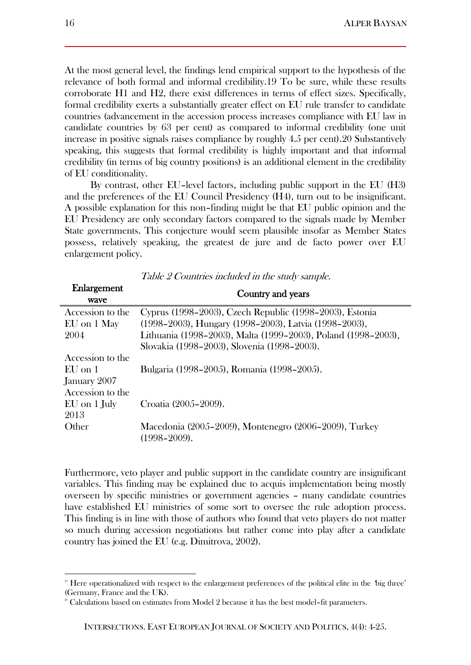At the most general level, the findings lend empirical support to the hypothesis of the relevance of both formal and informal credibility.19 To be sure, while these results corroborate H1 and H2, there exist differences in terms of effect sizes. Specifically, formal credibility exerts a substantially greater effect on EU rule transfer to candidate countries (advancement in the accession process increases compliance with EU law in candidate countries by 63 per cent) as compared to informal credibility (one unit increase in positive signals raises compliance by roughly 4.5 per cent).20 Substantively speaking, this suggests that formal credibility is highly important and that informal credibility (in terms of big country positions) is an additional element in the credibility of EU conditionality.

By contrast, other EU–level factors, including public support in the EU (H3) and the preferences of the EU Council Presidency (H4), turn out to be insignificant. A possible explanation for this non–finding might be that EU public opinion and the EU Presidency are only secondary factors compared to the signals made by Member State governments. This conjecture would seem plausible insofar as Member States possess, relatively speaking, the greatest de jure and de facto power over EU enlargement policy.

| Enlargement<br>wave | Country and years                                                          |  |  |
|---------------------|----------------------------------------------------------------------------|--|--|
| Accession to the    | Cyprus (1998–2003), Czech Republic (1998–2003), Estonia                    |  |  |
| EU on 1 May         | (1998–2003), Hungary (1998–2003), Latvia (1998–2003),                      |  |  |
| 2004                | Lithuania (1998-2003), Malta (1999-2003), Poland (1998-2003),              |  |  |
|                     | Slovakia (1998–2003), Slovenia (1998–2003).                                |  |  |
| Accession to the    |                                                                            |  |  |
| $EI$ on 1           | Bulgaria (1998–2005), Romania (1998–2005).                                 |  |  |
| January 2007        |                                                                            |  |  |
| Accession to the    |                                                                            |  |  |
| EU on 1 July        | Croatia (2005–2009).                                                       |  |  |
| 2013                |                                                                            |  |  |
| Other               | Macedonia (2005–2009), Montenegro (2006–2009), Turkey<br>$(1998 - 2009)$ . |  |  |

Table 2 Countries included in the study sample.

Furthermore, veto player and public support in the candidate country are insignificant variables. This finding may be explained due to acquis implementation being mostly overseen by specific ministries or government agencies – many candidate countries have established EU ministries of some sort to oversee the rule adoption process. This finding is in line with those of authors who found that veto players do not matter so much during accession negotiations but rather come into play after a candidate country has joined the EU (e.g. Dimitrova, 2002).

<sup>19</sup> Here operationalized with respect to the enlargement preferences of the political elite in the 'big three' (Germany, France and the UK).

 $2^{\circ}$  Calculations based on estimates from Model 2 because it has the best model-fit parameters.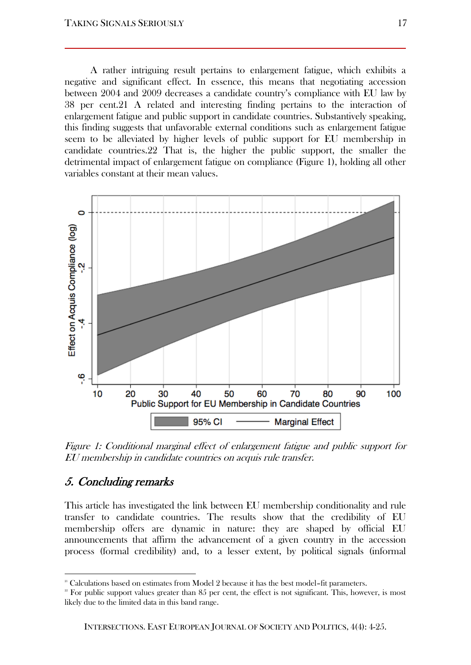A rather intriguing result pertains to enlargement fatigue, which exhibits a negative and significant effect. In essence, this means that negotiating accession between 2004 and 2009 decreases a candidate country's compliance with EU law by 38 per cent.21 A related and interesting finding pertains to the interaction of enlargement fatigue and public support in candidate countries. Substantively speaking, this finding suggests that unfavorable external conditions such as enlargement fatigue seem to be alleviated by higher levels of public support for EU membership in candidate countries.22 That is, the higher the public support, the smaller the detrimental impact of enlargement fatigue on compliance (Figure 1), holding all other variables constant at their mean values.



Figure 1: Conditional marginal effect of enlargement fatigue and public support for EU membership in candidate countries on acquis rule transfer.

## 5. Concluding remarks

 $\overline{a}$ 

This article has investigated the link between EU membership conditionality and rule transfer to candidate countries. The results show that the credibility of EU membership offers are dynamic in nature: they are shaped by official EU announcements that affirm the advancement of a given country in the accession process (formal credibility) and, to a lesser extent, by political signals (informal

 $2<sup>21</sup>$  Calculations based on estimates from Model 2 because it has the best model–fit parameters.

 $2<sup>2</sup>$  For public support values greater than 85 per cent, the effect is not significant. This, however, is most likely due to the limited data in this band range.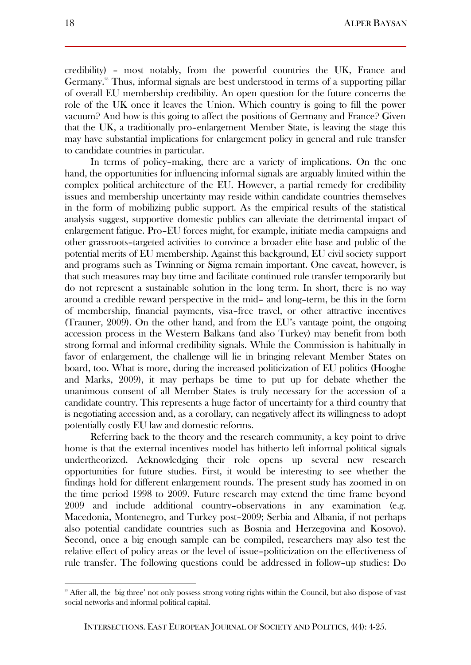credibility) – most notably, from the powerful countries the UK, France and Germany.<sup>23</sup> Thus, informal signals are best understood in terms of a supporting pillar of overall EU membership credibility. An open question for the future concerns the role of the UK once it leaves the Union. Which country is going to fill the power vacuum? And how is this going to affect the positions of Germany and France? Given that the UK, a traditionally pro–enlargement Member State, is leaving the stage this may have substantial implications for enlargement policy in general and rule transfer to candidate countries in particular.

In terms of policy–making, there are a variety of implications. On the one hand, the opportunities for influencing informal signals are arguably limited within the complex political architecture of the EU. However, a partial remedy for credibility issues and membership uncertainty may reside within candidate countries themselves in the form of mobilizing public support. As the empirical results of the statistical analysis suggest, supportive domestic publics can alleviate the detrimental impact of enlargement fatigue. Pro–EU forces might, for example, initiate media campaigns and other grassroots–targeted activities to convince a broader elite base and public of the potential merits of EU membership. Against this background, EU civil society support and programs such as Twinning or Sigma remain important. One caveat, however, is that such measures may buy time and facilitate continued rule transfer temporarily but do not represent a sustainable solution in the long term. In short, there is no way around a credible reward perspective in the mid– and long–term, be this in the form of membership, financial payments, visa–free travel, or other attractive incentives (Trauner, 2009). On the other hand, and from the EU's vantage point, the ongoing accession process in the Western Balkans (and also Turkey) may benefit from both strong formal and informal credibility signals. While the Commission is habitually in favor of enlargement, the challenge will lie in bringing relevant Member States on board, too. What is more, during the increased politicization of EU politics (Hooghe and Marks, 2009), it may perhaps be time to put up for debate whether the unanimous consent of all Member States is truly necessary for the accession of a candidate country. This represents a huge factor of uncertainty for a third country that is negotiating accession and, as a corollary, can negatively affect its willingness to adopt potentially costly EU law and domestic reforms.

Referring back to the theory and the research community, a key point to drive home is that the external incentives model has hitherto left informal political signals undertheorized. Acknowledging their role opens up several new research opportunities for future studies. First, it would be interesting to see whether the findings hold for different enlargement rounds. The present study has zoomed in on the time period 1998 to 2009. Future research may extend the time frame beyond 2009 and include additional country–observations in any examination (e.g. Macedonia, Montenegro, and Turkey post–2009; Serbia and Albania, if not perhaps also potential candidate countries such as Bosnia and Herzegovina and Kosovo). Second, once a big enough sample can be compiled, researchers may also test the relative effect of policy areas or the level of issue–politicization on the effectiveness of rule transfer. The following questions could be addressed in follow–up studies: Do

<sup>&</sup>lt;sup>23</sup> After all, the 'big three' not only possess strong voting rights within the Council, but also dispose of vast social networks and informal political capital.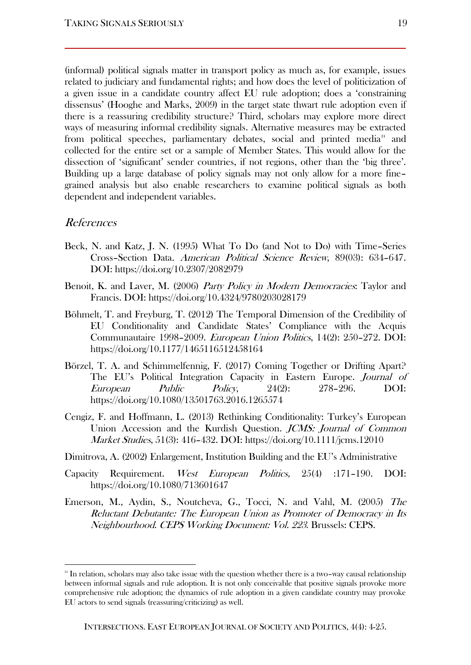(informal) political signals matter in transport policy as much as, for example, issues related to judiciary and fundamental rights; and how does the level of politicization of a given issue in a candidate country affect EU rule adoption; does a 'constraining dissensus' (Hooghe and Marks, 2009) in the target state thwart rule adoption even if there is a reassuring credibility structure? Third, scholars may explore more direct ways of measuring informal credibility signals. Alternative measures may be extracted from political speeches, parliamentary debates, social and printed media<sup>24</sup> and collected for the entire set or a sample of Member States. This would allow for the dissection of 'significant' sender countries, if not regions, other than the 'big three'. Building up a large database of policy signals may not only allow for a more fine– grained analysis but also enable researchers to examine political signals as both dependent and independent variables.

#### References

- Beck, N. and Katz, J. N. (1995) What To Do (and Not to Do) with Time–Series Cross–Section Data. American Political Science Review, 89(03): 634–647. DOI: https://doi.org/10.2307/2082979
- Benoit, K. and Laver, M. (2006) Party Policy in Modern Democracies: Taylor and Francis. DOI: https://doi.org/10.4324/9780203028179
- Böhmelt, T. and Freyburg, T. (2012) The Temporal Dimension of the Credibility of EU Conditionality and Candidate States' Compliance with the Acquis Communautaire 1998–2009. European Union Politics, 14(2): 250–272. DOI: https://doi.org/10.1177/1465116512458164
- Börzel, T. A. and Schimmelfennig, F. (2017) Coming Together or Drifting Apart? The EU's Political Integration Capacity in Eastern Europe. Journal of European Public Policy, 24(2): 278–296. DOI: https://doi.org/10.1080/13501763.2016.1265574
- Cengiz, F. and Hoffmann, L. (2013) Rethinking Conditionality: Turkey's European Union Accession and the Kurdish Question. JCMS: Journal of Common Market Studies, 51(3): 416–432. DOI: https://doi.org/10.1111/jcms.12010
- Dimitrova, A. (2002) Enlargement, Institution Building and the EU's Administrative
- Capacity Requirement. West European Politics, 25(4) :171–190. DOI: https://doi.org/10.1080/713601647
- Emerson, M., Aydin, S., Noutcheva, G., Tocci, N. and Vahl, M. (2005) The Reluctant Debutante: The European Union as Promoter of Democracy in Its Neighbourhood. CEPS Working Document: Vol. 223. Brussels: CEPS.

<sup>&</sup>lt;sup>24</sup> In relation, scholars may also take issue with the question whether there is a two–way causal relationship between informal signals and rule adoption. It is not only conceivable that positive signals provoke more comprehensive rule adoption; the dynamics of rule adoption in a given candidate country may provoke EU actors to send signals (reassuring/criticizing) as well.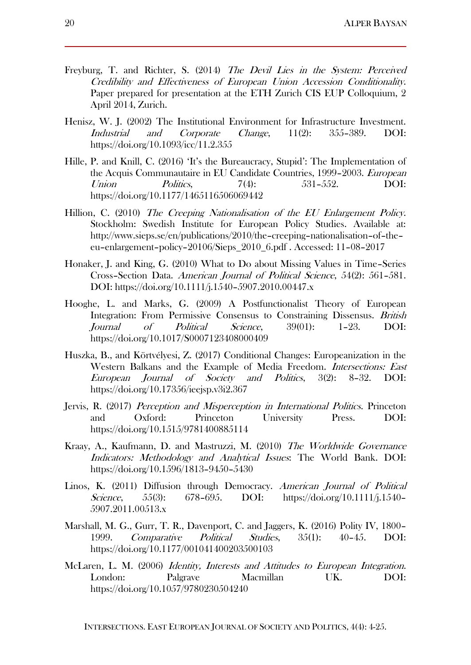- Freyburg, T. and Richter, S. (2014) The Devil Lies in the System: Perceived Credibility and Effectiveness of European Union Accession Conditionality. Paper prepared for presentation at the ETH Zurich CIS EUP Colloquium, 2 April 2014, Zurich.
- Henisz, W. J. (2002) The Institutional Environment for Infrastructure Investment. Industrial and Corporate Change, 11(2): 355–389. DOI: https://doi.org/10.1093/icc/11.2.355
- Hille, P. and Knill, C. (2016) 'It's the Bureaucracy, Stupid': The Implementation of the Acquis Communautaire in EU Candidate Countries, 1999–2003. European Union *Politics*, 7(4): 531-552. DOI: https://doi.org/10.1177/1465116506069442
- Hillion, C. (2010) The Creeping Nationalisation of the EU Enlargement Policy. Stockholm: Swedish Institute for European Policy Studies. Available at: http://www.sieps.se/en/publications/2010/the–creeping–nationalisation–of–the– eu–enlargement–policy–20106/Sieps\_2010\_6.pdf . Accessed: 11–08–2017
- Honaker, J. and King, G. (2010) What to Do about Missing Values in Time–Series Cross–Section Data. American Journal of Political Science, 54(2): 561–581. DOI: https://doi.org/10.1111/j.1540–5907.2010.00447.x
- Hooghe, L. and Marks, G. (2009) A Postfunctionalist Theory of European Integration: From Permissive Consensus to Constraining Dissensus. British Journal of Political Science, 39(01): 1–23. DOI: https://doi.org/10.1017/S0007123408000409
- Huszka, B., and Körtvélyesi, Z. (2017) Conditional Changes: Europeanization in the Western Balkans and the Example of Media Freedom. Intersections: East European Journal of Society and Politics, 3(2): 8–32. DOI: https://doi.org/10.17356/ieejsp.v3i2.367
- Jervis, R. (2017) Perception and Misperception in International Politics. Princeton and Oxford: Princeton University Press. DOI: https://doi.org/10.1515/9781400885114
- Kraay, A., Kaufmann, D. and Mastruzzi, M. (2010) The Worldwide Governance Indicators: Methodology and Analytical Issues: The World Bank. DOI: https://doi.org/10.1596/1813–9450–5430
- Linos, K. (2011) Diffusion through Democracy. American Journal of Political Science, 55(3): 678–695. DOI: https://doi.org/10.1111/j.1540– 5907.2011.00513.x
- Marshall, M. G., Gurr, T. R., Davenport, C. and Jaggers, K. (2016) Polity IV, 1800– 1999. Comparative Political Studies, 35(1): 40–45. DOI: https://doi.org/10.1177/001041400203500103
- McLaren, L. M. (2006) Identity, Interests and Attitudes to European Integration. London: Palgrave Macmillan UK. DOI: https://doi.org/10.1057/9780230504240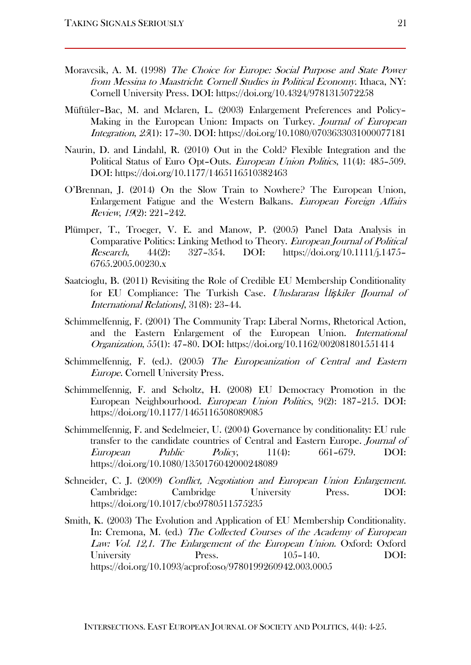- Moravcsik, A. M. (1998) The Choice for Europe: Social Purpose and State Power from Messina to Maastricht: Cornell Studies in Political Economy. Ithaca, NY: Cornell University Press. DOI: https://doi.org/10.4324/9781315072258
- Müftüler–Bac, M. and Mclaren, L. (2003) Enlargement Preferences and Policy– Making in the European Union: Impacts on Turkey. *Journal of European* Integration, 25(1): 17–30. DOI: https://doi.org/10.1080/0703633031000077181
- Naurin, D. and Lindahl, R. (2010) Out in the Cold? Flexible Integration and the Political Status of Euro Opt–Outs. European Union Politics, 11(4): 485–509. DOI: https://doi.org/10.1177/1465116510382463
- O'Brennan, J. (2014) On the Slow Train to Nowhere? The European Union, Enlargement Fatigue and the Western Balkans. European Foreign Affairs Review, 19(2): 221–242.
- Plümper, T., Troeger, V. E. and Manow, P. (2005) Panel Data Analysis in Comparative Politics: Linking Method to Theory. European Journal of Political Research, 44(2): 327–354. DOI: https://doi.org/10.1111/j.1475– 6765.2005.00230.x
- Saatcioglu, B. (2011) Revisiting the Role of Credible EU Membership Conditionality for EU Compliance: The Turkish Case. Uluslararası *İ*li*ş*kiler [Journal of International Relations], 31(8): 23–44.
- Schimmelfennig, F. (2001) The Community Trap: Liberal Norms, Rhetorical Action, and the Eastern Enlargement of the European Union. International Organization, 55(1): 47–80. DOI: https://doi.org/10.1162/002081801551414
- Schimmelfennig, F. (ed.). (2005) The Europeanization of Central and Eastern Europe. Cornell University Press.
- Schimmelfennig, F. and Scholtz, H. (2008) EU Democracy Promotion in the European Neighbourhood. European Union Politics, 9(2): 187–215. DOI: https://doi.org/10.1177/1465116508089085
- Schimmelfennig, F. and Sedelmeier, U. (2004) Governance by conditionality: EU rule transfer to the candidate countries of Central and Eastern Europe. Journal of European Public Policy, 11(4): 661–679. DOI: https://doi.org/10.1080/1350176042000248089
- Schneider, C. J. (2009) Conflict, Negotiation and European Union Enlargement. Cambridge: Cambridge University Press. DOI: https://doi.org/10.1017/cbo9780511575235
- Smith, K. (2003) The Evolution and Application of EU Membership Conditionality. In: Cremona, M. (ed.) The Collected Courses of the Academy of European Law: Vol. 12,1. The Enlargement of the European Union. Oxford: Oxford University Press. 105–140. DOI: https://doi.org/10.1093/acprof:oso/9780199260942.003.0005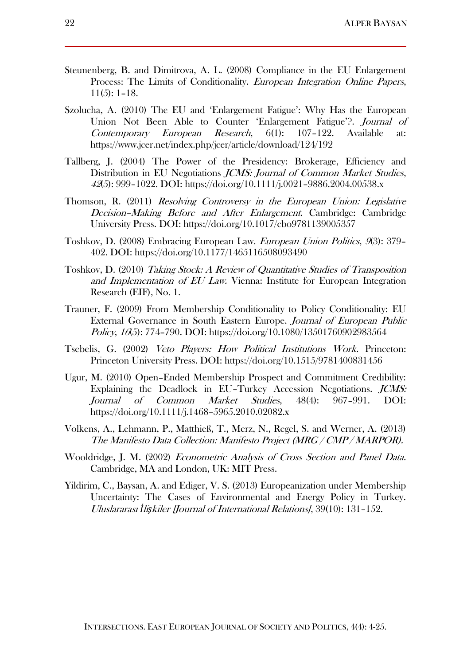- Steunenberg, B. and Dimitrova, A. L. (2008) Compliance in the EU Enlargement Process: The Limits of Conditionality. European Integration Online Papers, 11(5): 1–18.
- Szolucha, A. (2010) The EU and 'Enlargement Fatigue': Why Has the European Union Not Been Able to Counter 'Enlargement Fatigue'?. *Journal of* Contemporary European Research, 6(1): 107–122. Available at: https://www.jcer.net/index.php/jcer/article/download/124/192
- Tallberg, J. (2004) The Power of the Presidency: Brokerage, Efficiency and Distribution in EU Negotiations *JCMS: Journal of Common Market Studies*, <sup>42</sup>(5): 999–1022. DOI: https://doi.org/10.1111/j.0021–9886.2004.00538.x
- Thomson, R. (2011) Resolving Controversy in the European Union: Legislative Decision-Making Before and After Enlargement. Cambridge: Cambridge University Press. DOI: https://doi.org/10.1017/cbo9781139005357
- Toshkov, D. (2008) Embracing European Law. European Union Politics, 9(3): 379– 402. DOI: https://doi.org/10.1177/1465116508093490
- Toshkov, D. (2010) Taking Stock: A Review of Quantitative Studies of Transposition and Implementation of EU Law. Vienna: Institute for European Integration Research (EIF), No. 1.
- Trauner, F. (2009) From Membership Conditionality to Policy Conditionality: EU External Governance in South Eastern Europe. Journal of European Public Policy, 16(5): 774–790. DOI: https://doi.org/10.1080/13501760902983564
- Tsebelis, G. (2002) Veto Players: How Political Institutions Work. Princeton: Princeton University Press. DOI: https://doi.org/10.1515/9781400831456
- Ugur, M. (2010) Open–Ended Membership Prospect and Commitment Credibility: Explaining the Deadlock in EU–Turkey Accession Negotiations. JCMS: Journal of Common Market Studies, 48(4): 967–991. DOI: https://doi.org/10.1111/j.1468–5965.2010.02082.x
- Volkens, A., Lehmann, P., Matthieß, T., Merz, N., Regel, S. and Werner, A. (2013) The Manifesto Data Collection: Manifesto Project (MRG / CMP / MARPOR).
- Wooldridge, J. M. (2002) Econometric Analysis of Cross Section and Panel Data. Cambridge, MA and London, UK: MIT Press.
- Yildirim, C., Baysan, A. and Ediger, V. S. (2013) Europeanization under Membership Uncertainty: The Cases of Environmental and Energy Policy in Turkey. Uluslararası *İ*li*ş*kiler [Journal of International Relations], 39(10): 131–152.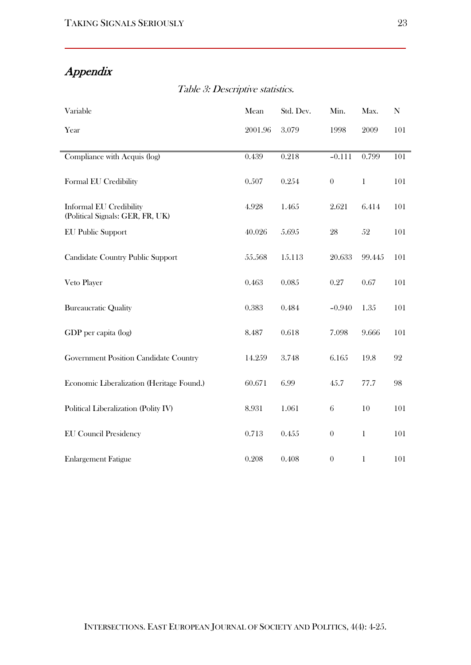# Appendix

| Variable                                                           | Mean    | Std. Dev. | Min.     | Max.         | N   |
|--------------------------------------------------------------------|---------|-----------|----------|--------------|-----|
| Year                                                               | 2001.96 | 3.079     | 1998     | 2009         | 101 |
|                                                                    |         |           |          |              |     |
| Compliance with Acquis (log)                                       | 0.439   | 0.218     | $-0.111$ | 0.799        | 101 |
| Formal EU Credibility                                              | 0.507   | 0.254     | $\theta$ | $\mathbf{1}$ | 101 |
| <b>Informal EU Credibility</b><br>(Political Signals: GER, FR, UK) | 4.928   | 1.465     | 2.621    | 6.414        | 101 |
| <b>EU Public Support</b>                                           | 40.026  | 5.695     | 28       | $52\,$       | 101 |
| Candidate Country Public Support                                   | 55.568  | 15.113    | 20.633   | 99.445       | 101 |
| Veto Player                                                        | 0.463   | 0.085     | 0.27     | 0.67         | 101 |
| <b>Bureaucratic Quality</b>                                        | 0.383   | 0.484     | $-0.940$ | 1.35         | 101 |
| GDP per capita (log)                                               | 8.487   | 0.618     | 7.098    | 9.666        | 101 |
| <b>Government Position Candidate Country</b>                       | 14.259  | 3.748     | 6.165    | 19.8         | 92  |
| Economic Liberalization (Heritage Found.)                          | 60.671  | 6.99      | 45.7     | 77.7         | 98  |
| Political Liberalization (Polity IV)                               | 8.931   | 1.061     | 6        | 10           | 101 |
| <b>EU Council Presidency</b>                                       | 0.713   | 0.455     | $\theta$ | $\mathbf{1}$ | 101 |
| <b>Enlargement Fatigue</b>                                         | 0.208   | 0.408     | $\theta$ | 1            | 101 |

Table 3: Descriptive statistics.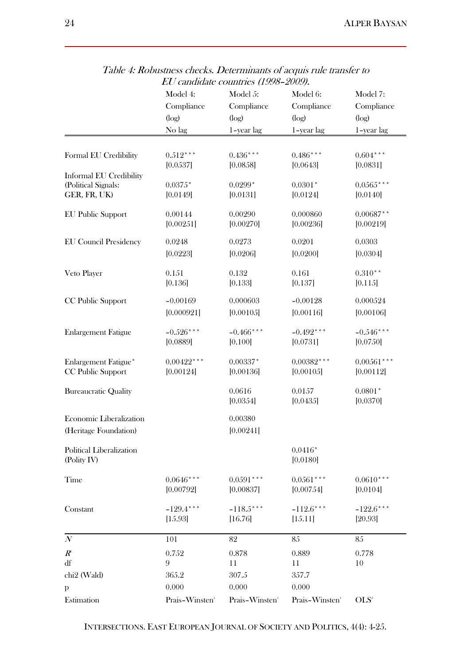|                                                       | Model 4:                   | Model 5:                   | Model 6:                   | Model 7:                 |  |
|-------------------------------------------------------|----------------------------|----------------------------|----------------------------|--------------------------|--|
|                                                       | Compliance<br>(log)        | Compliance                 | Compliance                 | Compliance<br>(log)      |  |
|                                                       |                            | (log)                      | (log)                      |                          |  |
|                                                       | No lag                     | 1-year lag                 | 1-year lag                 | 1-year lag               |  |
|                                                       |                            |                            |                            |                          |  |
| Formal EU Credibility                                 | $0.512***$                 | $0.436***$                 | $0.486***$                 | $0.604***$               |  |
|                                                       | [0.0537]                   | [0.0858]                   | [0.0643]                   | [0.0831]                 |  |
| <b>Informal EU Credibility</b><br>(Political Signals: | $0.0375*$                  | $0.0299*$                  | $0.0301*$                  | $0.0565***$              |  |
| GER, FR, UK)                                          | [0.0149]                   | [0.0131]                   | [0.0124]                   | [0.0140]                 |  |
|                                                       |                            |                            |                            |                          |  |
| <b>EU Public Support</b>                              | 0.00144<br>[0.00251]       | 0.00290<br>[0.00270]       | 0.000860<br>[0.00236]      | $0.00687**$<br>[0.00219] |  |
|                                                       |                            |                            |                            |                          |  |
| <b>EU Council Presidency</b>                          | 0.0248                     | 0.0273                     | 0.0201                     | 0.0303                   |  |
|                                                       | [0.0223]                   | [0.0206]                   | [0.0200]                   | [0.0304]                 |  |
| Veto Player                                           | 0.151                      | 0.132                      | 0.161                      | $0.310**$                |  |
|                                                       | [0.136]                    | [0.133]                    | [0.137]                    | [0.115]                  |  |
| CC Public Support                                     | $-0.00169$                 | 0.000603                   | $-0.00128$                 | 0.000524                 |  |
|                                                       | [0.000921]                 | [0.00105]                  | [0.00116]                  | [0.00106]                |  |
|                                                       |                            |                            |                            |                          |  |
| <b>Enlargement Fatigue</b>                            | $-0.526***$                | $-0.466$ ***<br>[0.100]    | $-0.492***$                | $-0.546***$              |  |
|                                                       | [0.0889]                   |                            | [0.0731]                   | [0.0750]                 |  |
| Enlargement Fatigue*                                  | $0.00422***$               | $0.00337*$                 | $0.00382***$               | $0.00561$ ***            |  |
| CC Public Support                                     | [0.00124]                  | [0.00136]                  | [0.00105]                  | [0.00112]                |  |
| <b>Bureaucratic Quality</b>                           |                            | 0.0616                     | 0.0157                     | $0.0801*$                |  |
|                                                       |                            | [0.0354]                   | [0.0435]                   | [0.0370]                 |  |
| Economic Liberalization                               |                            | 0.00380                    |                            |                          |  |
| (Heritage Foundation)                                 |                            | [0.00241]                  |                            |                          |  |
|                                                       |                            |                            |                            |                          |  |
| Political Liberalization                              |                            |                            | $0.0416*$                  |                          |  |
| (Polity IV)                                           |                            |                            | [0.0180]                   |                          |  |
| Time                                                  | $0.0646***$                | $0.0591$ ***               | $0.0561***$                | $0.0610***$              |  |
|                                                       | [0.00792]                  | [0.00837]                  | [0.00754]                  | [0.0104]                 |  |
| Constant                                              | $-129.4***$                | $-118.5***$                | $-112.6***$                | $-122.6***$              |  |
|                                                       | [15.93]                    | [16.76]                    | [15.11]                    | [20.93]                  |  |
|                                                       |                            |                            |                            |                          |  |
| $\boldsymbol{N}$                                      | 101                        | 82                         | 85                         | 85                       |  |
| $R^{\circ}$                                           | 0.752                      | 0.878                      | 0.889                      | 0.778                    |  |
| df                                                    | 9                          | 11                         | 11                         | 10                       |  |
| chi <sub>2</sub> (Wald)                               | 365.2<br>0.000             | 307.5<br>0.000             | 357.7<br>0.000             |                          |  |
| p                                                     |                            |                            |                            |                          |  |
| Estimation                                            | Prais-Winsten <sup>1</sup> | Prais-Winsten <sup>1</sup> | Prais-Winsten <sup>1</sup> | OLS <sup>2</sup>         |  |

Table 4: Robustness checks. Determinants of acquis rule transfer to EU candidate countries (1998–2009).